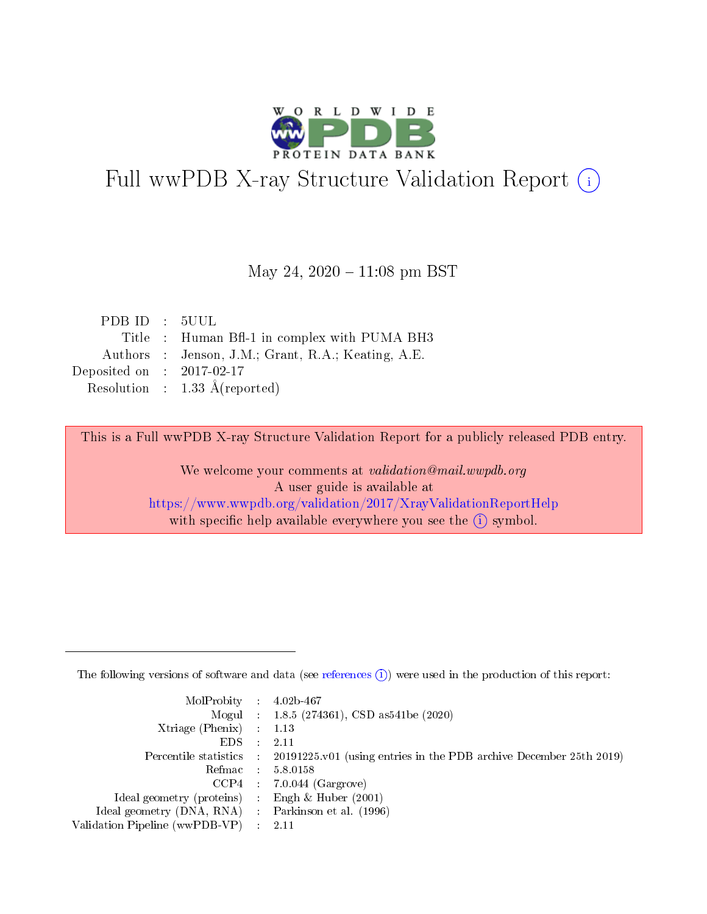

# Full wwPDB X-ray Structure Validation Report (i)

#### May 24,  $2020 - 11:08$  pm BST

| PDB ID : 5UUL               |                                                    |
|-----------------------------|----------------------------------------------------|
|                             | Title : Human Bfl-1 in complex with PUMA BH3       |
|                             | Authors : Jenson, J.M.; Grant, R.A.; Keating, A.E. |
| Deposited on : $2017-02-17$ |                                                    |
|                             | Resolution : $1.33 \text{ Å}$ (reported)           |

This is a Full wwPDB X-ray Structure Validation Report for a publicly released PDB entry.

We welcome your comments at validation@mail.wwpdb.org A user guide is available at <https://www.wwpdb.org/validation/2017/XrayValidationReportHelp> with specific help available everywhere you see the  $(i)$  symbol.

The following versions of software and data (see [references](https://www.wwpdb.org/validation/2017/XrayValidationReportHelp#references)  $(1)$ ) were used in the production of this report:

| $MolProbability$ : 4.02b-467                        |                                                                                              |
|-----------------------------------------------------|----------------------------------------------------------------------------------------------|
|                                                     | Mogul : 1.8.5 (274361), CSD as 541 be (2020)                                                 |
| Xtriage (Phenix) $: 1.13$                           |                                                                                              |
| $EDS$ :                                             | -2.11                                                                                        |
|                                                     | Percentile statistics : $20191225.v01$ (using entries in the PDB archive December 25th 2019) |
| Refmac : 5.8.0158                                   |                                                                                              |
|                                                     | $CCP4$ : 7.0.044 (Gargrove)                                                                  |
| Ideal geometry (proteins) :                         | Engh $\&$ Huber (2001)                                                                       |
| Ideal geometry (DNA, RNA) : Parkinson et al. (1996) |                                                                                              |
| Validation Pipeline (wwPDB-VP) : 2.11               |                                                                                              |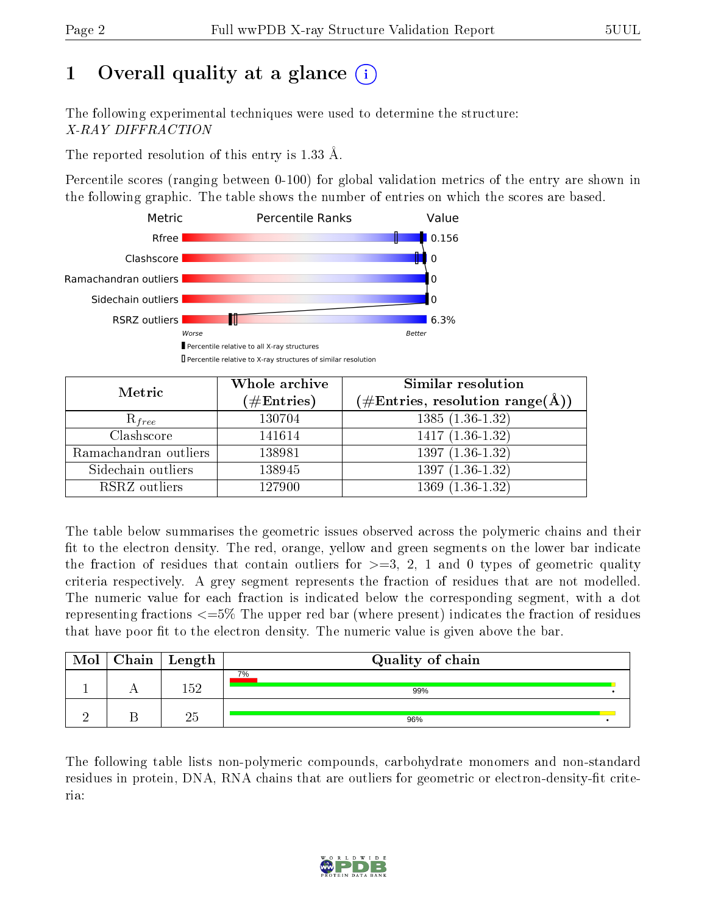## 1 [O](https://www.wwpdb.org/validation/2017/XrayValidationReportHelp#overall_quality)verall quality at a glance (i)

The following experimental techniques were used to determine the structure: X-RAY DIFFRACTION

The reported resolution of this entry is 1.33 Å.

Percentile scores (ranging between 0-100) for global validation metrics of the entry are shown in the following graphic. The table shows the number of entries on which the scores are based.



| Metric                | Whole archive<br>$(\#\mathrm{Entries})$ | Similar resolution<br>$(\#\text{Entries},\,\text{resolution}\,\,\text{range}(\textup{\AA}))$ |
|-----------------------|-----------------------------------------|----------------------------------------------------------------------------------------------|
| $R_{free}$            | 130704                                  | $1385(1.36-1.32)$                                                                            |
| Clashscore            | 141614                                  | $1417(1.36-1.32)$                                                                            |
| Ramachandran outliers | 138981                                  | $\overline{1397 (1.36-1.32)}$                                                                |
| Sidechain outliers    | 138945                                  | $1397(1.36-1.32)$                                                                            |
| RSRZ outliers         | 127900                                  | $1369(1.36-1.32)$                                                                            |

The table below summarises the geometric issues observed across the polymeric chains and their fit to the electron density. The red, orange, yellow and green segments on the lower bar indicate the fraction of residues that contain outliers for  $>=3, 2, 1$  and 0 types of geometric quality criteria respectively. A grey segment represents the fraction of residues that are not modelled. The numeric value for each fraction is indicated below the corresponding segment, with a dot representing fractions <=5% The upper red bar (where present) indicates the fraction of residues that have poor fit to the electron density. The numeric value is given above the bar.

| Mol | $Chain$ Length | Quality of chain |  |
|-----|----------------|------------------|--|
|     | 152            | 7%<br>99%        |  |
|     |                | 96%              |  |

The following table lists non-polymeric compounds, carbohydrate monomers and non-standard residues in protein, DNA, RNA chains that are outliers for geometric or electron-density-fit criteria:

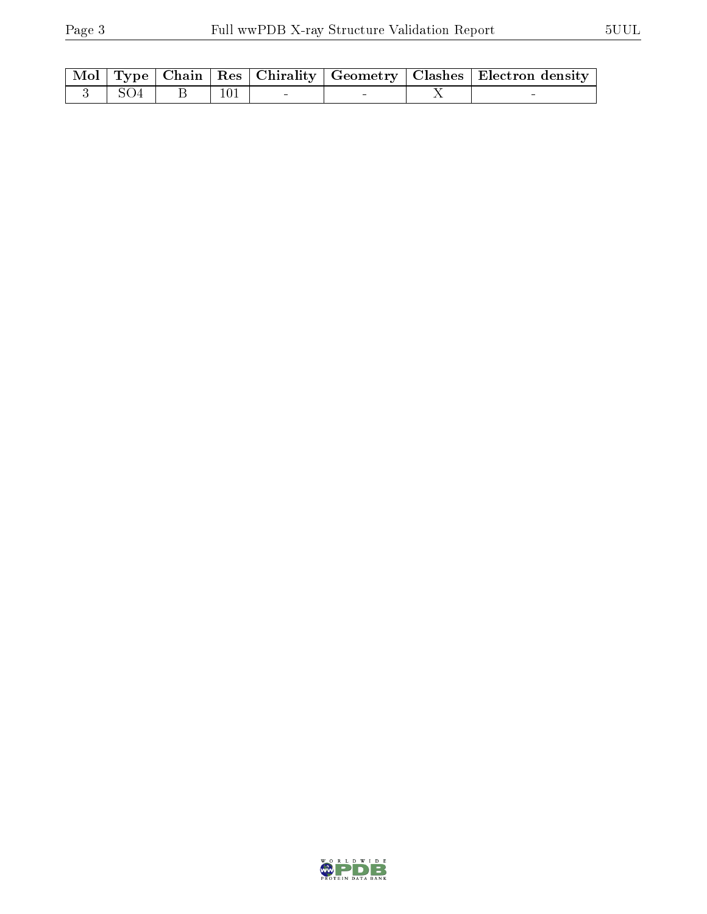|            |  |     |  | Mol   Type   Chain   Res   Chirality   Geometry   Clashes   Electron density |
|------------|--|-----|--|------------------------------------------------------------------------------|
| $-3$   SO4 |  | 101 |  |                                                                              |

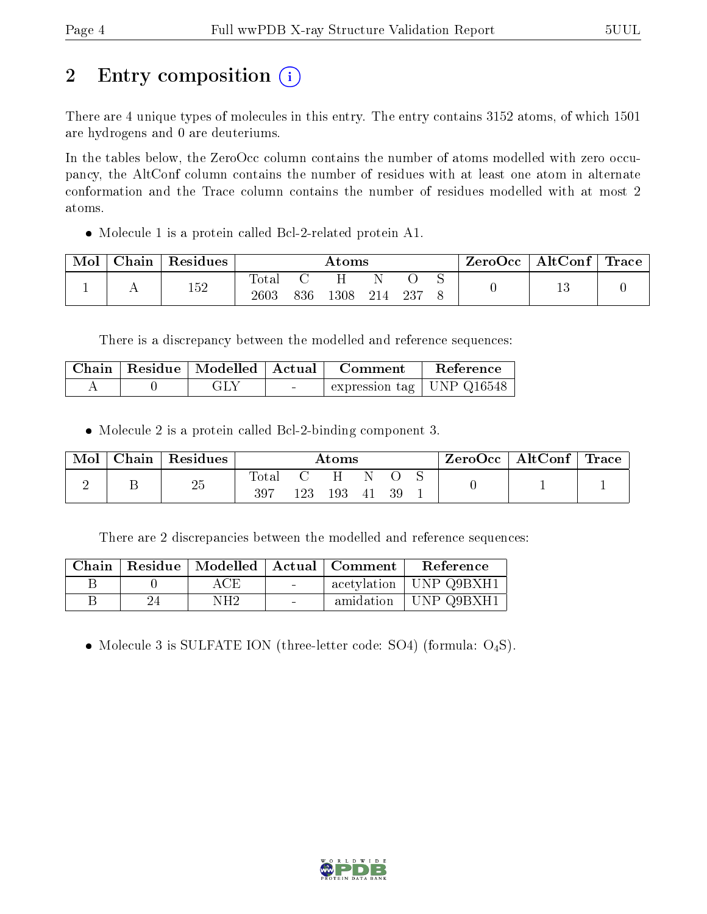## 2 Entry composition (i)

There are 4 unique types of molecules in this entry. The entry contains 3152 atoms, of which 1501 are hydrogens and 0 are deuteriums.

In the tables below, the ZeroOcc column contains the number of atoms modelled with zero occupancy, the AltConf column contains the number of residues with at least one atom in alternate conformation and the Trace column contains the number of residues modelled with at most 2 atoms.

Molecule 1 is a protein called Bcl-2-related protein A1.

| Mol | Chain Residues |                          | $\rm{Atoms}$ |      |     |      |  | ZeroOcc | $\mid$ AltConf $\mid$ Trace $\mid$ |  |
|-----|----------------|--------------------------|--------------|------|-----|------|--|---------|------------------------------------|--|
|     | 152            | $\mathrm{Total}$<br>2603 | 836          | 1308 | 214 | -237 |  |         |                                    |  |

There is a discrepancy between the modelled and reference sequences:

|  |     | Chain   Residue   Modelled   Actual   Comment | Reference |
|--|-----|-----------------------------------------------|-----------|
|  | GLY | expression tag   UNP $Q16548$                 |           |

Molecule 2 is a protein called Bcl-2-binding component 3.

| Mol |    | Chain   Residues |                | Atoms |        |  |     |  | $\rm{ZeroOcc} \mid \rm{AltConf} \mid \rm{Trace}$ |  |
|-----|----|------------------|----------------|-------|--------|--|-----|--|--------------------------------------------------|--|
|     | ىد | 25               | $\text{Total}$ | 123   | 193 41 |  | -39 |  |                                                  |  |

There are 2 discrepancies between the modelled and reference sequences:

|      |                 |                | Chain   Residue   Modelled   Actual   Comment | Reference                |
|------|-----------------|----------------|-----------------------------------------------|--------------------------|
|      | ACE             | $\sim$         |                                               | acetylation   UNP Q9BXH1 |
| -24- | NH <sub>2</sub> | <b>Section</b> |                                               | amidation   UNP Q9BXH1   |

• Molecule 3 is SULFATE ION (three-letter code: SO4) (formula:  $O_4S$ ).

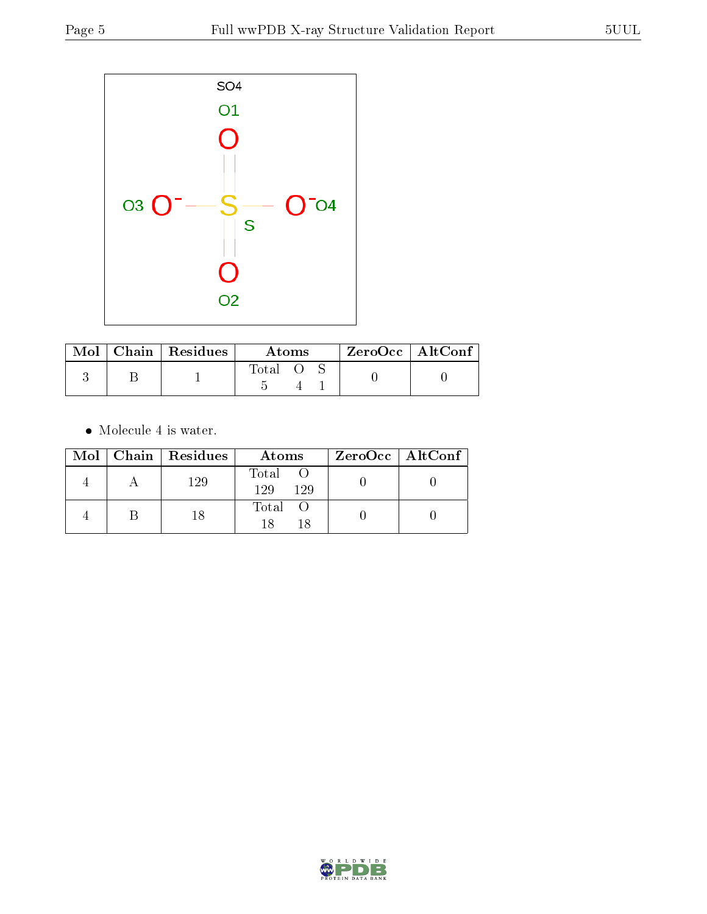

|  | Mol   Chain   Residues | Atoms |  |  | $ZeroOcc \   \ AltConf$ |  |
|--|------------------------|-------|--|--|-------------------------|--|
|  |                        | Total |  |  |                         |  |

 $\bullet\,$  Molecule 4 is water.

|  | Mol   Chain   Residues | Atoms               | $ZeroOcc \   \$ AltConf |
|--|------------------------|---------------------|-------------------------|
|  | 129                    | Total<br>129<br>129 |                         |
|  |                        | Total O             |                         |

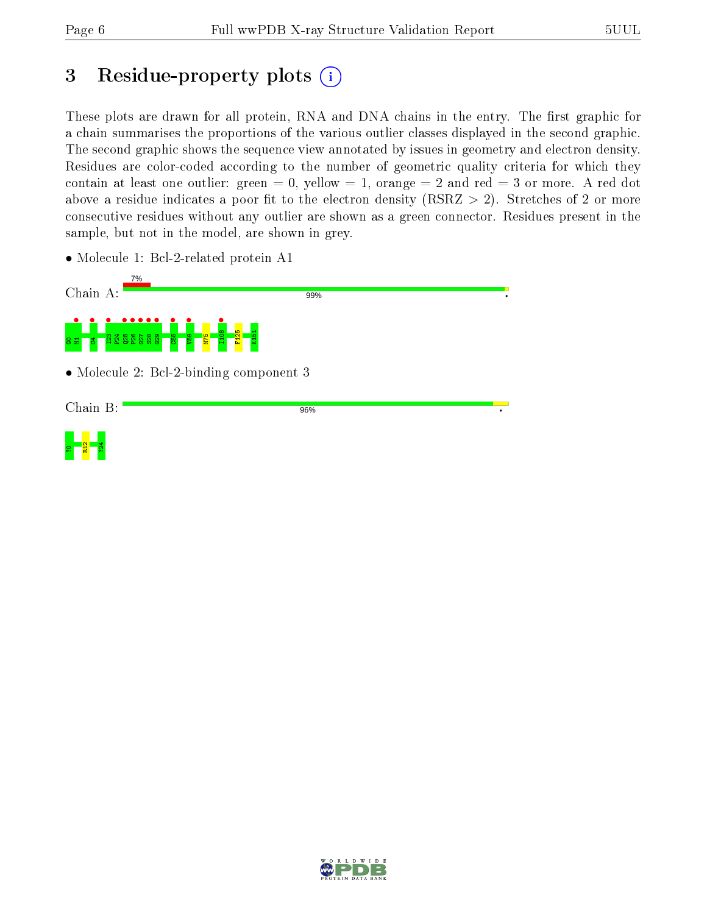<mark>ទ ដ</mark> ដ<br>ស

## 3 Residue-property plots  $(i)$

These plots are drawn for all protein, RNA and DNA chains in the entry. The first graphic for a chain summarises the proportions of the various outlier classes displayed in the second graphic. The second graphic shows the sequence view annotated by issues in geometry and electron density. Residues are color-coded according to the number of geometric quality criteria for which they contain at least one outlier: green  $= 0$ , yellow  $= 1$ , orange  $= 2$  and red  $= 3$  or more. A red dot above a residue indicates a poor fit to the electron density (RSRZ  $> 2$ ). Stretches of 2 or more consecutive residues without any outlier are shown as a green connector. Residues present in the sample, but not in the model, are shown in grey.

• Molecule 1: Bcl-2-related protein A1



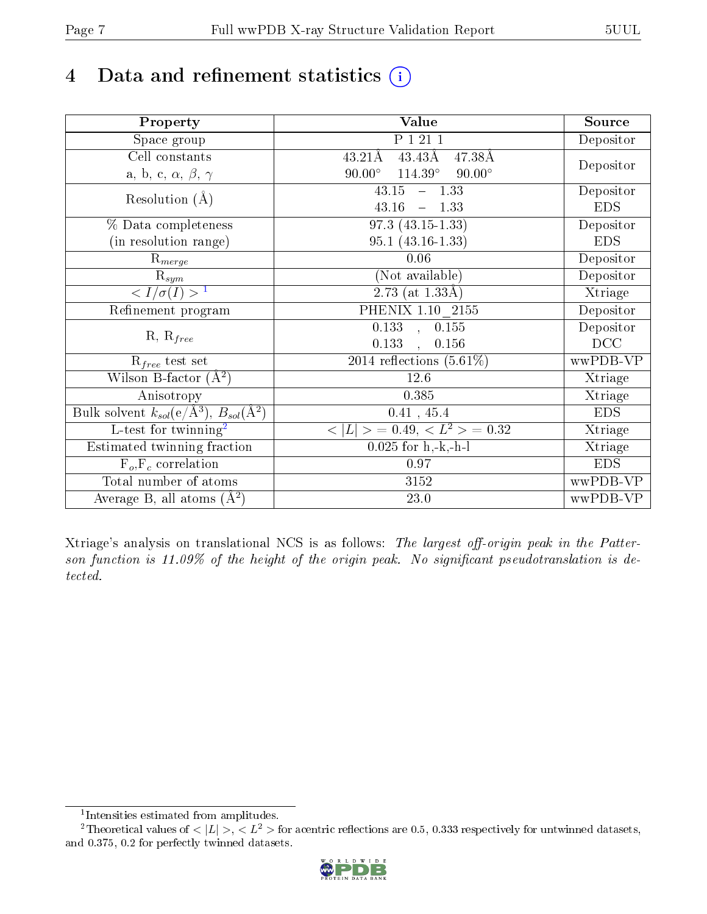## 4 Data and refinement statistics  $(i)$

| Property                                                         | Value                                            | Source     |
|------------------------------------------------------------------|--------------------------------------------------|------------|
| $\overline{\text{Space}}$ group                                  | P 1 21 1                                         | Depositor  |
| $\operatorname{Cell}$ constants                                  | $43.43\text{\AA}$<br>$43.21\text{\AA}$<br>47.38Å |            |
| a, b, c, $\alpha$ , $\beta$ , $\gamma$                           | $90.00^\circ$<br>$114.39^\circ$<br>$90.00^\circ$ | Depositor  |
| Resolution $(A)$                                                 | 43.15<br>$-1.33$                                 | Depositor  |
|                                                                  | 43.16<br>$-1.33$                                 | <b>EDS</b> |
| % Data completeness                                              | $97.3(43.15-1.33)$                               | Depositor  |
| (in resolution range)                                            | $95.1(43.16-1.33)$                               | <b>EDS</b> |
| $R_{merge}$                                                      | 0.06                                             | Depositor  |
| $\mathrm{R}_{sym}$                                               | (Not available)                                  | Depositor  |
| $\langle I/\sigma(I) \rangle^{-1}$                               | 2.73 (at $1.33\text{\AA}$ )                      | Xtriage    |
| Refinement program                                               | PHENIX 1.10 2155                                 | Depositor  |
| $R, R_{free}$                                                    | $\overline{0.133}$ ,<br>0.155                    | Depositor  |
|                                                                  | 0.133<br>0.156<br>$\overline{a}$                 | DCC        |
| $R_{free}$ test set                                              | $\overline{2014}$ reflections $(5.61\%)$         | wwPDB-VP   |
| Wilson B-factor $(A^2)$                                          | 12.6                                             | Xtriage    |
| Anisotropy                                                       | 0.385                                            | Xtriage    |
| Bulk solvent $k_{sol}(\text{e}/\text{A}^3), B_{sol}(\text{A}^2)$ | 0.41, 45.4                                       | <b>EDS</b> |
| L-test for twinning <sup>2</sup>                                 | $< L >$ = 0.49, $< L^2 >$ = 0.32                 | Xtriage    |
| Estimated twinning fraction                                      | $0.025$ for h,-k,-h-l                            | Xtriage    |
| $F_o, F_c$ correlation                                           | 0.97                                             | <b>EDS</b> |
| Total number of atoms                                            | 3152                                             | wwPDB-VP   |
| Average B, all atoms $(A^2)$                                     | 23.0                                             | wwPDB-VP   |

Xtriage's analysis on translational NCS is as follows: The largest off-origin peak in the Patterson function is  $11.09\%$  of the height of the origin peak. No significant pseudotranslation is detected.

<sup>&</sup>lt;sup>2</sup>Theoretical values of  $\langle |L| \rangle$ ,  $\langle L^2 \rangle$  for acentric reflections are 0.5, 0.333 respectively for untwinned datasets, and 0.375, 0.2 for perfectly twinned datasets.



<span id="page-6-1"></span><span id="page-6-0"></span><sup>1</sup> Intensities estimated from amplitudes.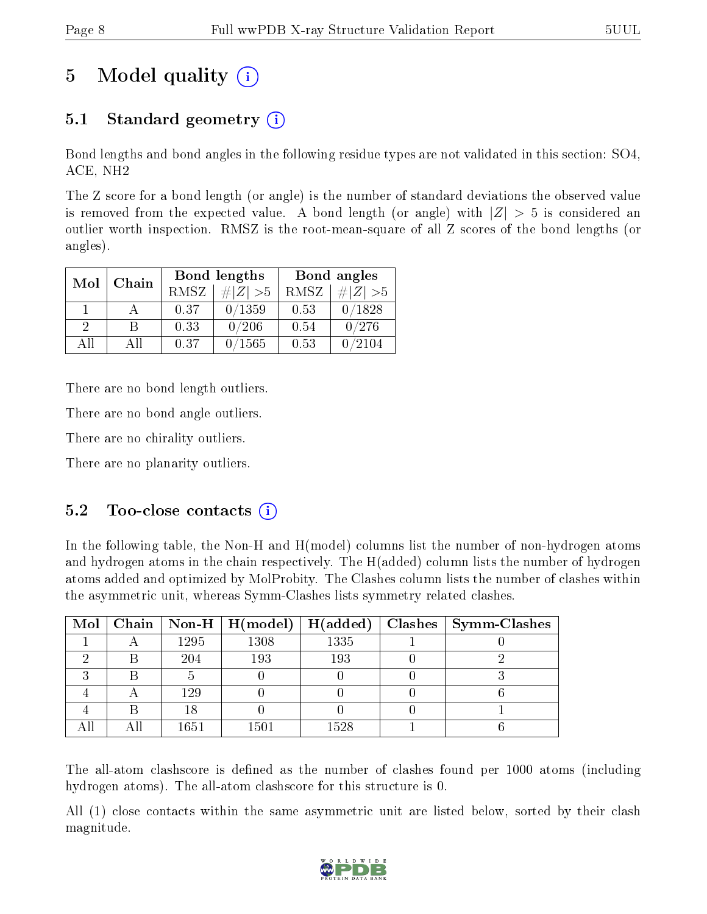## 5 Model quality  $(i)$

### 5.1 Standard geometry  $(i)$

Bond lengths and bond angles in the following residue types are not validated in this section: SO4, ACE, NH2

The Z score for a bond length (or angle) is the number of standard deviations the observed value is removed from the expected value. A bond length (or angle) with  $|Z| > 5$  is considered an outlier worth inspection. RMSZ is the root-mean-square of all Z scores of the bond lengths (or angles).

| Mol           | Chain |      | Bond lengths | Bond angles |             |  |
|---------------|-------|------|--------------|-------------|-------------|--|
|               |       | RMSZ | $\# Z  > 5$  | RMSZ        | # $ Z  > 5$ |  |
|               |       | 0.37 | 0/1359       | 0.53        | 0/1828      |  |
| $\mathcal{D}$ |       | 0.33 | 0/206        | 0.54        | 0/276       |  |
| ΔH            | A 11  | 0.37 | /1565        | 0.53        | /2104       |  |

There are no bond length outliers.

There are no bond angle outliers.

There are no chirality outliers.

There are no planarity outliers.

#### $5.2$  Too-close contacts  $(i)$

In the following table, the Non-H and H(model) columns list the number of non-hydrogen atoms and hydrogen atoms in the chain respectively. The H(added) column lists the number of hydrogen atoms added and optimized by MolProbity. The Clashes column lists the number of clashes within the asymmetric unit, whereas Symm-Clashes lists symmetry related clashes.

|   |      | $\boxed{\text{Mol}$ Chain   Non-H   H(model) | H(added) | Clashes   Symm-Clashes |
|---|------|----------------------------------------------|----------|------------------------|
|   | 1295 | 1308                                         | 1335     |                        |
|   | 204  | 193                                          | 193      |                        |
| ച |      |                                              |          |                        |
|   | 129  |                                              |          |                        |
|   |      |                                              |          |                        |
|   | 1651 | $150\,1$                                     | 1528     |                        |

The all-atom clashscore is defined as the number of clashes found per 1000 atoms (including hydrogen atoms). The all-atom clashscore for this structure is 0.

All (1) close contacts within the same asymmetric unit are listed below, sorted by their clash magnitude.

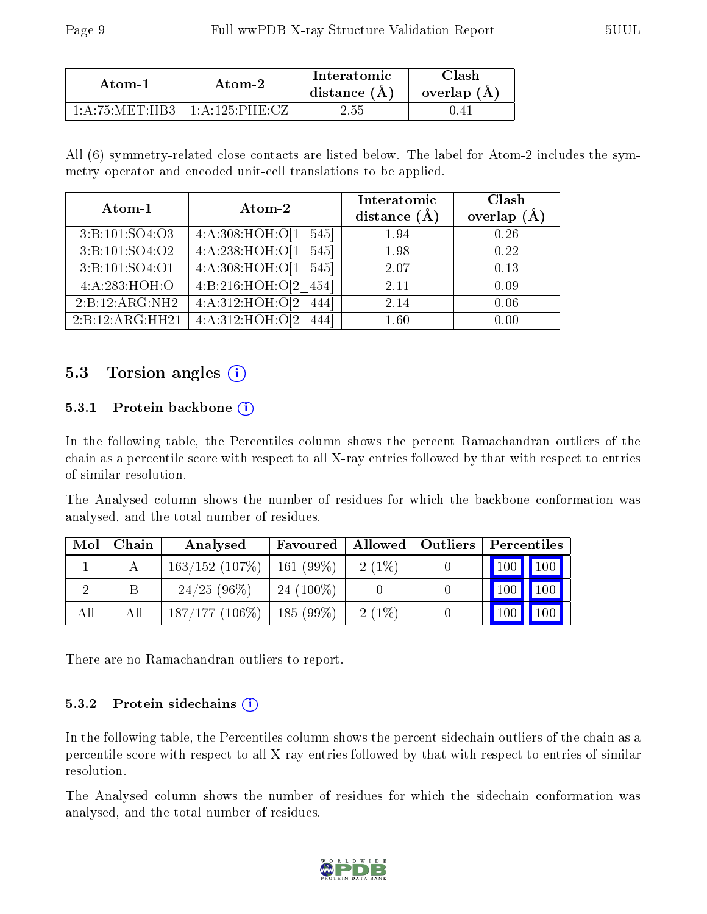| Atom-1                                   | Atom-2                              | Interatomic<br>distance (A) | lash<br>overlap (A) |
|------------------------------------------|-------------------------------------|-----------------------------|---------------------|
| $1 \cdot A \cdot 75 \cdot MET \cdot HPR$ | $1 \cdot \Delta \cdot 125$ PHF $CZ$ | 2.55                        |                     |

All (6) symmetry-related close contacts are listed below. The label for Atom-2 includes the symmetry operator and encoded unit-cell translations to be applied.

|                 |                            | Interatomic    | Clash         |
|-----------------|----------------------------|----------------|---------------|
| Atom-1          | Atom-2                     | distance $(A)$ | overlap $(A)$ |
| 3:B:101:SO4:O3  | 4: A:308:HOH O:0[1]<br>545 | 1.94           | 0.26          |
| 3:B:101:SO4:O2  | 4:A:238:HOH:O[1 545]       | 1.98           | 0.22          |
| 3:B:101:SO4:O1  | 4:A:308:HOH:O[1 545]       | 2.07           | 0.13          |
| 4:A:283:HOH:O   | 4: B:216: HOH: O[2]<br>454 | 2.11           | 0.09          |
| 2:B:12:ARG:NH2  | 4: A:312: HOH:O[2]         | 2.14           | 0.06          |
| 2:B:12:ARG:HH21 | 4: A:312: HOH:O[2]         | 1.60           | 0.00          |

#### 5.3 Torsion angles (i)

#### 5.3.1 Protein backbone  $(i)$

In the following table, the Percentiles column shows the percent Ramachandran outliers of the chain as a percentile score with respect to all X-ray entries followed by that with respect to entries of similar resolution.

The Analysed column shows the number of residues for which the backbone conformation was analysed, and the total number of residues.

| Mol | Chain | Analysed                       | Favoured    | $\mid$ Allowed $\mid$ Outliers | Percentiles                  |
|-----|-------|--------------------------------|-------------|--------------------------------|------------------------------|
|     |       | $163/152$ (107\%)   161 (99\%) |             | $2(1\%)$                       | $\mid$ 100 $\mid$ 100 $\mid$ |
|     |       | $24/25(96\%)$                  | $24(100\%)$ |                                | 100                          |
| All | All   | $187/177$ (106\%)   185 (99\%) |             | $2(1\%)$                       | 100<br><b>100</b>            |

There are no Ramachandran outliers to report.

#### 5.3.2 Protein sidechains (i)

In the following table, the Percentiles column shows the percent sidechain outliers of the chain as a percentile score with respect to all X-ray entries followed by that with respect to entries of similar resolution.

The Analysed column shows the number of residues for which the sidechain conformation was analysed, and the total number of residues.

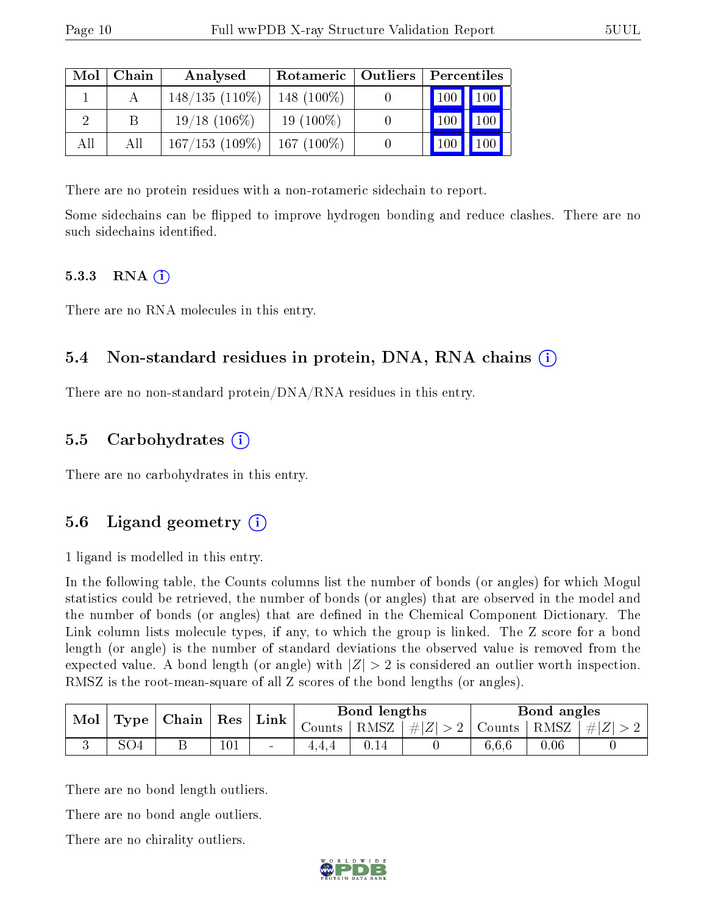| Mol | Chain | Analysed          | Rotameric   Outliers | Percentiles |                     |  |
|-----|-------|-------------------|----------------------|-------------|---------------------|--|
|     |       | $148/135(110\%)$  | 148 $(100\%)$        | $\vert$ 100 | $\vert$ 100 $\vert$ |  |
| റ   |       | $19/18$ (106\%)   | $19(100\%)$          | 100         | 100                 |  |
| All | All   | $167/153$ (109\%) | $167(100\%)$         | 100         | 100                 |  |

There are no protein residues with a non-rotameric sidechain to report.

Some sidechains can be flipped to improve hydrogen bonding and reduce clashes. There are no such sidechains identified.

#### $5.3.3$  RNA  $(i)$

There are no RNA molecules in this entry.

### 5.4 Non-standard residues in protein, DNA, RNA chains (i)

There are no non-standard protein/DNA/RNA residues in this entry.

#### 5.5 Carbohydrates (i)

There are no carbohydrates in this entry.

#### 5.6 Ligand geometry  $(i)$

1 ligand is modelled in this entry.

In the following table, the Counts columns list the number of bonds (or angles) for which Mogul statistics could be retrieved, the number of bonds (or angles) that are observed in the model and the number of bonds (or angles) that are defined in the Chemical Component Dictionary. The Link column lists molecule types, if any, to which the group is linked. The Z score for a bond length (or angle) is the number of standard deviations the observed value is removed from the expected value. A bond length (or angle) with  $|Z| > 2$  is considered an outlier worth inspection. RMSZ is the root-mean-square of all Z scores of the bond lengths (or angles).

| $\vert$ Type $\vert$ Chain $\vert$ Res $\vert$<br><b>Mol</b> |     |   | $^{\shortmid}$ Link $_{\shortmid}$ | Bond lengths             |                       |                                                                                | Bond angles |          |           |
|--------------------------------------------------------------|-----|---|------------------------------------|--------------------------|-----------------------|--------------------------------------------------------------------------------|-------------|----------|-----------|
|                                                              |     |   |                                    |                          | Counts   RMSZ $\vert$ | $\left  \frac{1}{2}  Z  > 2 \right $ Counts $\left  \frac{RMSZ}{RMSZ} \right $ |             |          | $\pm  Z $ |
|                                                              | SO4 | ້ | 101                                | $\overline{\phantom{a}}$ |                       |                                                                                | 6,6,6       | $0.06\,$ |           |

There are no bond length outliers.

There are no bond angle outliers.

There are no chirality outliers.

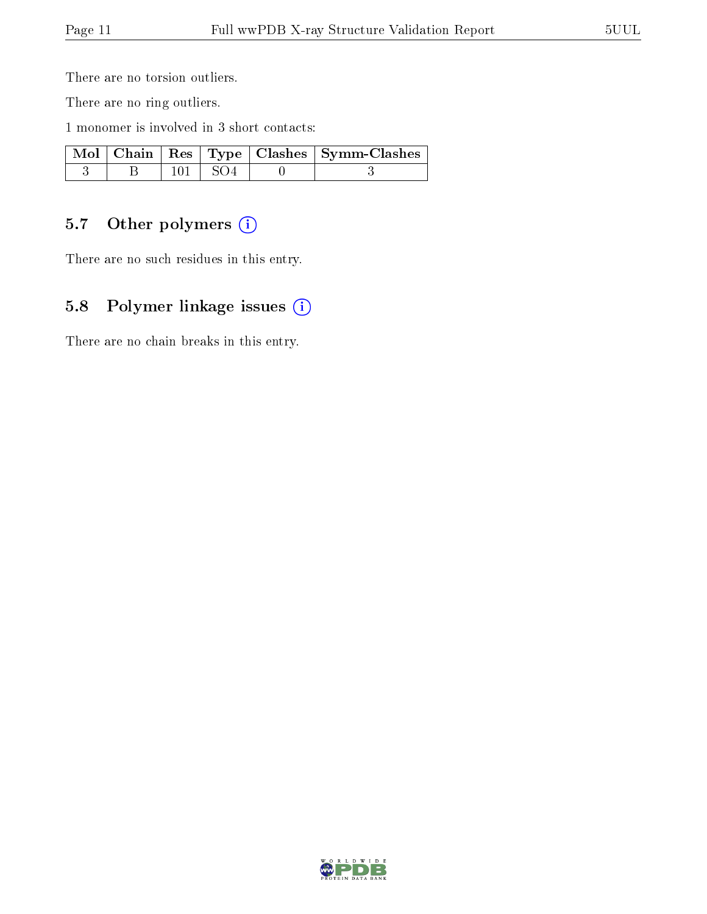There are no torsion outliers.

There are no ring outliers.

1 monomer is involved in 3 short contacts:

|  |             | $\sqrt{\text{Mol} + \text{Chain}} + \text{Res} + \text{Type} + \text{Class} + \text{Symm-Class}$ |
|--|-------------|--------------------------------------------------------------------------------------------------|
|  | $101 + SO4$ |                                                                                                  |

### 5.7 [O](https://www.wwpdb.org/validation/2017/XrayValidationReportHelp#nonstandard_residues_and_ligands)ther polymers (i)

There are no such residues in this entry.

### 5.8 Polymer linkage issues (i)

There are no chain breaks in this entry.

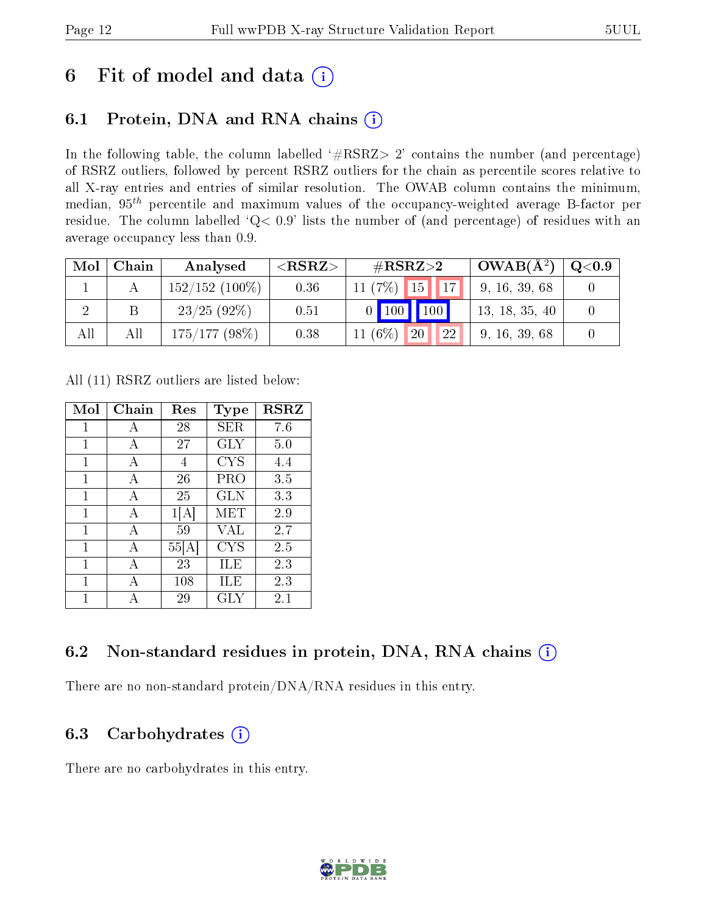## 6 Fit of model and data  $(i)$

### 6.1 Protein, DNA and RNA chains  $(i)$

In the following table, the column labelled  $#RSRZ> 2'$  contains the number (and percentage) of RSRZ outliers, followed by percent RSRZ outliers for the chain as percentile scores relative to all X-ray entries and entries of similar resolution. The OWAB column contains the minimum, median,  $95<sup>th</sup>$  percentile and maximum values of the occupancy-weighted average B-factor per residue. The column labelled ' $Q< 0.9$ ' lists the number of (and percentage) of residues with an average occupancy less than 0.9.

| Mol | Chain | Analysed          | ${ <\hspace{-1.5pt}{\mathrm{RSRZ}} \hspace{-1.5pt}>}$ | $\#\text{RSRZ}{>}2$                        | $\overline{\text{OWAB(A)}^2}$ | $\rm Q\textcolor{black}{<}0.9$ |
|-----|-------|-------------------|-------------------------------------------------------|--------------------------------------------|-------------------------------|--------------------------------|
|     |       | $152/152$ (100\%) | 0.36                                                  | 11 $(7%)$<br>17<br>$\blacksquare$ 15       | 9, 16, 39, 68                 |                                |
|     |       | 23/25(92%)        | 0.51                                                  | 100<br>$\vert$ 100                         | 13, 18, 35, 40                |                                |
| All | All   | 175/177(98%)      | 0.38                                                  | 11 $(6\%)$<br><b>22</b><br>20 <sup>1</sup> | 9, 16, 39, 68                 |                                |

All (11) RSRZ outliers are listed below:

| Mol          | Chain | Res  | Type       | <b>RSRZ</b> |
|--------------|-------|------|------------|-------------|
| 1            | А     | 28   | <b>SER</b> | 7.6         |
| 1            | A     | 27   | GLY        | 5.0         |
| $\mathbf{1}$ | А     | 4    | <b>CYS</b> | 4.4         |
| 1            | А     | 26   | PRO        | 3.5         |
| 1            | A     | 25   | <b>GLN</b> | 3.3         |
| 1            | A     | 1 A  | MET        | 2.9         |
| 1            | А     | 59   | VAL        | 2.7         |
| $\mathbf{1}$ | А     | 55 A | <b>CYS</b> | 2.5         |
| 1            | А     | 23   | ILE        | 2.3         |
| 1            | А     | 108  | ILE        | 2.3         |
| 1            |       | 29   | GLY        | $2.1\,$     |

### 6.2 Non-standard residues in protein, DNA, RNA chains (i)

There are no non-standard protein/DNA/RNA residues in this entry.

#### 6.3 Carbohydrates  $(i)$

There are no carbohydrates in this entry.